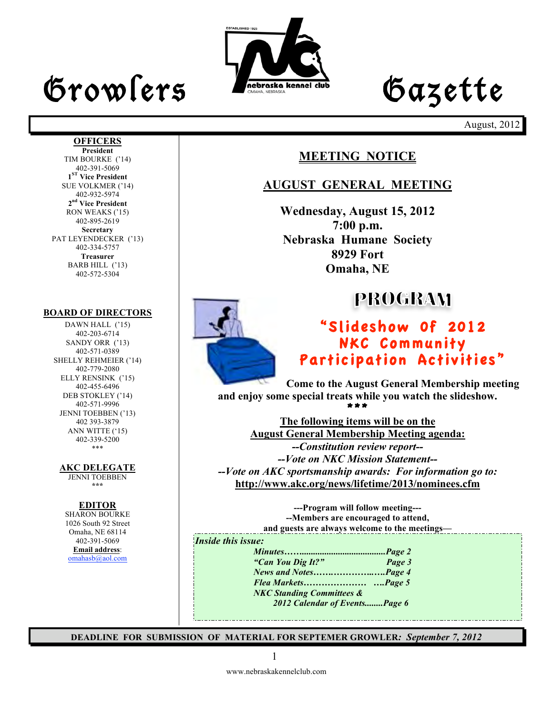# Growlers Lette

**OFFICERS President** TIM BOURKE ('14) 402-391-5069 **1ST Vice President** SUE VOLKMER ('14) 402-932-5974 **2nd Vice President** RON WEAKS ('15)



August, 2012

## **MEETING NOTICE**

### **AUGUST GENERAL MEETING**

**Wednesday, August 15, 2012 7:00 p.m. Nebraska Humane Society 8929 Fort Omaha, NE**

## **PROGRAM**

## "Slideshow 0f 2012 NKC Community Participation Activities"

**Come to the August General Membership meeting and enjoy some special treats while you watch the slideshow.** \*\*\*

**The following items will be on the August General Membership Meeting agenda:** *--Constitution review report-- --Vote on NKC Mission Statement-- --Vote on AKC sportsmanship awards: For information go to:* **http://www.akc.org/news/lifetime/2013/nominees.cfm**

> **---Program will follow meeting--- --Members are encouraged to attend, and guests are always welcome to the meetings—**

*Inside this issue:*

*Minutes…….....................................Page 2 "Can You Dig It?" Page 3 News and Notes…….…………..….Page 4 Flea Markets………………… ….Page 5 NKC Standing Committees & 2012 Calendar of Events........Page 6*

**DEADLINE FOR SUBMISSION OF MATERIAL FOR SEPTEMER GROWLER***: September 7, 2012*

402-895-2619 **Secretary** PAT LEYENDECKER ('13) 402-334-5757 **Treasurer** BARB HILL ('13) 402-572-5304

#### **BOARD OF DIRECTORS**

DAWN HALL ('15) 402-203-6714 SANDY ORR ('13) 402-571-0389 SHELLY REHMEIER ('14) 402-779-2080 ELLY RENSINK ('15) 402-455-6496 DEB STOKLEY ('14) 402-571-9996 JENNI TOEBBEN ('13) 402 393-3879 ANN WITTE ('15) 402-339-5200 \*\*\*

**AKC DELEGATE** 

JENNI TOEBBEN **\*\*\***

#### **EDITOR**

SHARON BOURKE 1026 South 92 Street Omaha, NE 68114 402-391-5069 **Email address**: omahasb@aol.com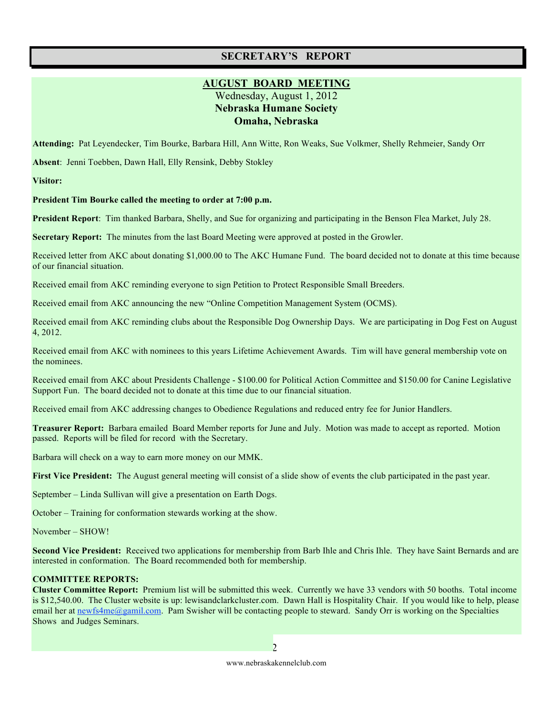### **SECRETARY'S REPORT**

#### **AUGUST BOARD MEETING**

Wednesday, August 1, 2012 **Nebraska Humane Society Omaha, Nebraska**

**Attending:** Pat Leyendecker, Tim Bourke, Barbara Hill, Ann Witte, Ron Weaks, Sue Volkmer, Shelly Rehmeier, Sandy Orr

**Absent**: Jenni Toebben, Dawn Hall, Elly Rensink, Debby Stokley

**Visitor:** 

**President Tim Bourke called the meeting to order at 7:00 p.m.**

**President Report**: Tim thanked Barbara, Shelly, and Sue for organizing and participating in the Benson Flea Market, July 28.

**Secretary Report:** The minutes from the last Board Meeting were approved at posted in the Growler.

Received letter from AKC about donating \$1,000.00 to The AKC Humane Fund. The board decided not to donate at this time because of our financial situation.

Received email from AKC reminding everyone to sign Petition to Protect Responsible Small Breeders.

Received email from AKC announcing the new "Online Competition Management System (OCMS).

Received email from AKC reminding clubs about the Responsible Dog Ownership Days. We are participating in Dog Fest on August 4, 2012.

Received email from AKC with nominees to this years Lifetime Achievement Awards. Tim will have general membership vote on the nominees.

Received email from AKC about Presidents Challenge - \$100.00 for Political Action Committee and \$150.00 for Canine Legislative Support Fun. The board decided not to donate at this time due to our financial situation.

Received email from AKC addressing changes to Obedience Regulations and reduced entry fee for Junior Handlers.

**Treasurer Report:** Barbara emailed Board Member reports for June and July. Motion was made to accept as reported. Motion passed. Reports will be filed for record with the Secretary.

Barbara will check on a way to earn more money on our MMK.

**First Vice President:** The August general meeting will consist of a slide show of events the club participated in the past year.

September – Linda Sullivan will give a presentation on Earth Dogs.

October – Training for conformation stewards working at the show.

November – SHOW!

**Second Vice President:** Received two applications for membership from Barb Ihle and Chris Ihle. They have Saint Bernards and are interested in conformation. The Board recommended both for membership.

#### **COMMITTEE REPORTS:**

**Cluster Committee Report:** Premium list will be submitted this week. Currently we have 33 vendors with 50 booths. Total income is \$12,540.00. The Cluster website is up: lewisandclarkcluster.com. Dawn Hall is Hospitality Chair. If you would like to help, please email her at newfs4me@gamil.com. Pam Swisher will be contacting people to steward. Sandy Orr is working on the Specialties Shows and Judges Seminars.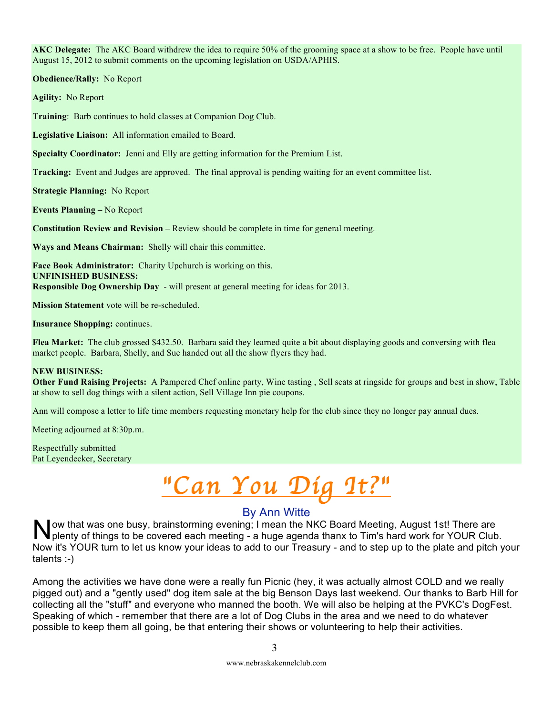**AKC Delegate:** The AKC Board withdrew the idea to require 50% of the grooming space at a show to be free. People have until August 15, 2012 to submit comments on the upcoming legislation on USDA/APHIS.

**Obedience/Rally:** No Report

**Agility:** No Report

**Training**: Barb continues to hold classes at Companion Dog Club.

**Legislative Liaison:** All information emailed to Board.

**Specialty Coordinator:** Jenni and Elly are getting information for the Premium List.

**Tracking:** Event and Judges are approved. The final approval is pending waiting for an event committee list.

**Strategic Planning:** No Report

**Events Planning –** No Report

**Constitution Review and Revision –** Review should be complete in time for general meeting.

**Ways and Means Chairman:** Shelly will chair this committee.

**Face Book Administrator:** Charity Upchurch is working on this. **UNFINISHED BUSINESS: Responsible Dog Ownership Day** - will present at general meeting for ideas for 2013.

**Mission Statement** vote will be re-scheduled.

**Insurance Shopping:** continues.

**Flea Market:** The club grossed \$432.50. Barbara said they learned quite a bit about displaying goods and conversing with flea market people. Barbara, Shelly, and Sue handed out all the show flyers they had.

#### **NEW BUSINESS:**

**Other Fund Raising Projects:** A Pampered Chef online party, Wine tasting , Sell seats at ringside for groups and best in show, Table at show to sell dog things with a silent action, Sell Village Inn pie coupons.

Ann will compose a letter to life time members requesting monetary help for the club since they no longer pay annual dues.

Meeting adjourned at 8:30p.m.

Respectfully submitted Pat Leyendecker, Secretary

## "*Can You Dig It?*"

#### By Ann Witte

ow that was one busy, brainstorming evening; I mean the NKC Board Meeting, August 1st! There are plenty of things to be covered each meeting - a huge agenda thanx to Tim's hard work for YOUR Club. Now it's YOUR turn to let us know your ideas to add to our Treasury - and to step up to the plate and pitch your talents :-) N

Among the activities we have done were a really fun Picnic (hey, it was actually almost COLD and we really pigged out) and a "gently used" dog item sale at the big Benson Days last weekend. Our thanks to Barb Hill for collecting all the "stuff" and everyone who manned the booth. We will also be helping at the PVKC's DogFest. Speaking of which - remember that there are a lot of Dog Clubs in the area and we need to do whatever possible to keep them all going, be that entering their shows or volunteering to help their activities.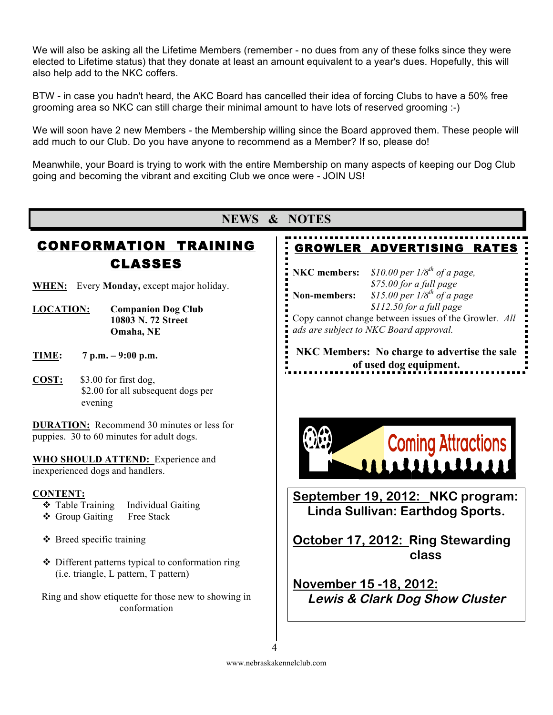We will also be asking all the Lifetime Members (remember - no dues from any of these folks since they were elected to Lifetime status) that they donate at least an amount equivalent to a year's dues. Hopefully, this will also help add to the NKC coffers.

BTW - in case you hadn't heard, the AKC Board has cancelled their idea of forcing Clubs to have a 50% free grooming area so NKC can still charge their minimal amount to have lots of reserved grooming :-)

We will soon have 2 new Members - the Membership willing since the Board approved them. These people will add much to our Club. Do you have anyone to recommend as a Member? If so, please do!

Meanwhile, your Board is trying to work with the entire Membership on many aspects of keeping our Dog Club going and becoming the vibrant and exciting Club we once were - JOIN US!

## CONFORMATION TRAINING CLASSES

**WHEN:** Every **Monday,** except major holiday.

- **LOCATION: Companion Dog Club 10803 N. 72 Street Omaha, NE**
- **TIME: 7 p.m. 9:00 p.m.**
- **COST:** \$3.00 for first dog, \$2.00 for all subsequent dogs per evening

**DURATION:** Recommend 30 minutes or less for puppies. 30 to 60 minutes for adult dogs.

**WHO SHOULD ATTEND:** Experience and inexperienced dogs and handlers.

#### **CONTENT:**

- **❖** Table Training Individual Gaiting
- ◆ Group Gaiting Free Stack
- $\triangle$  Breed specific training
- Different patterns typical to conformation ring (i.e. triangle, L pattern, T pattern)

Ring and show etiquette for those new to showing in conformation

### **NEWS & NOTES**

## GROWLER ADVERTISING RATES

**NKC members:** *\$10.00 per 1/8th of a page,* 

*\$75.00 for a full page*  **Non-members:** *\$15.00 per 1/8th of a page \$112.50 for a full page* Copy cannot change between issues of the Growler*. All* 

*ads are subject to NKC Board approval.*

**NKC Members: No charge to advertise the sale of used dog equipment.**



**September 19, 2012: NKC program: Linda Sullivan: Earthdog Sports.**

**October 17, 2012: Ring Stewarding class**

**November 15 -18, 2012: Lewis & Clark Dog Show Cluster**

www.nebraskakennelclub.com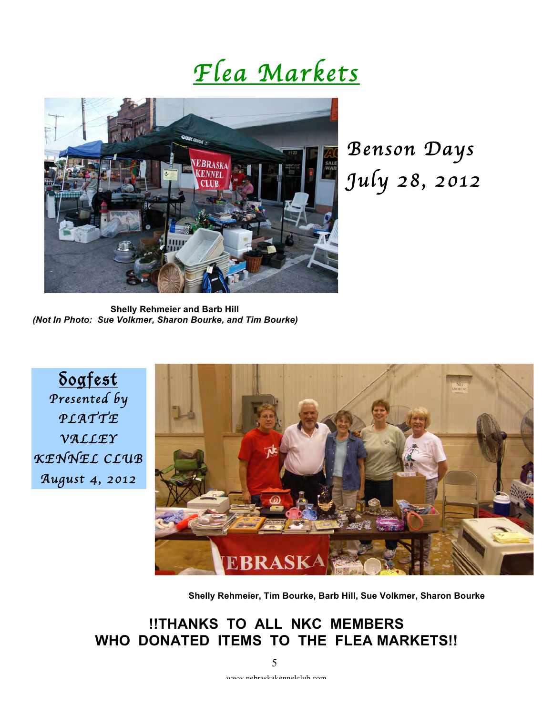## *Flea Markets*



*Benson Days July 28, 2012* 

**Shelly Rehmeier and Barb Hill**  *(Not In Photo: Sue Volkmer, Sharon Bourke, and Tim Bourke)*

<u>Sogfest</u> *Presented by PLATTE VALLEY KENNEL CLUB August 4, 2012* 



**Shelly Rehmeier, Tim Bourke, Barb Hill, Sue Volkmer, Sharon Bourke**

## **!!THANKS TO ALL NKC MEMBERS WHO DONATED ITEMS TO THE FLEA MARKETS!!**

5

www.nebraskakennelclub.com